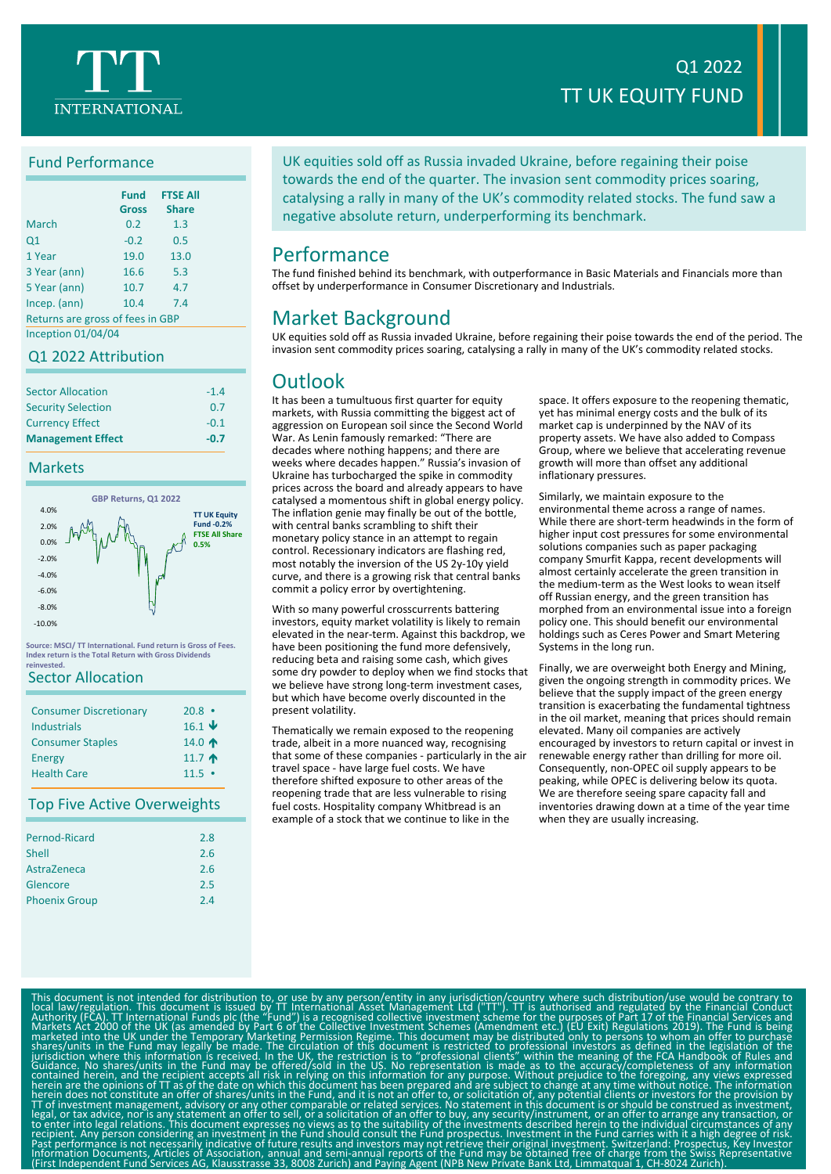

## Fund Performance

|                                  | <b>Fund</b><br><b>Gross</b> | <b>FTSE All</b><br><b>Share</b> |
|----------------------------------|-----------------------------|---------------------------------|
| March                            | 0.2                         | 1.3                             |
| Q1                               | $-0.2$                      | 0.5                             |
| 1 Year                           | 19.0                        | 13.0                            |
| 3 Year (ann)                     | 16.6                        | 5.3                             |
| 5 Year (ann)                     | 10.7                        | 4.7                             |
| Incep. (ann)                     | 10.4                        | 7.4                             |
| Returns are gross of fees in GBP |                             |                                 |

Inception 01/04/04

## Q1 2022 Attribution

| <b>Sector Allocation</b>  | $-1.4$ |
|---------------------------|--------|
| <b>Security Selection</b> | 0.7    |
| <b>Currency Effect</b>    | $-0.1$ |
| <b>Management Effect</b>  | $-0.7$ |

### Markets



**Source: MSCI/ TT International. Fund return is Gross of Fees. Index return is the Total Return with Gross Dividends rinvested** 

## Sector Allocation

| <b>Consumer Discretionary</b><br><b>Industrials</b> | $20.8$ $\cdot$<br>$16.1 \text{ V}$ |
|-----------------------------------------------------|------------------------------------|
| <b>Consumer Staples</b>                             | 14.0 $\spadesuit$                  |
| <b>Energy</b>                                       | 11.7 $\uparrow$                    |
| <b>Health Care</b>                                  | $11.5 \bullet$                     |

### Top Five Active Overweights

| Pernod-Ricard        | 2.8 |
|----------------------|-----|
| Shell                | 2.6 |
| AstraZeneca          | 2.6 |
| Glencore             | 2.5 |
| <b>Phoenix Group</b> | 2.4 |
|                      |     |

# Q1 2022 TT UK EQUITY FUND

UK equities sold off as Russia invaded Ukraine, before regaining their poise towards the end of the quarter. The invasion sent commodity prices soaring, catalysing a rally in many of the UK's commodity related stocks. The fund saw a negative absolute return, underperforming its benchmark.

# Performance

The fund finished behind its benchmark, with outperformance in Basic Materials and Financials more than offset by underperformance in Consumer Discretionary and Industrials.

# Market Background

UK equities sold off as Russia invaded Ukraine, before regaining their poise towards the end of the period. The invasion sent commodity prices soaring, catalysing a rally in many of the UK's commodity related stocks.

# **Outlook**

It has been a tumultuous first quarter for equity markets, with Russia committing the biggest act of aggression on European soil since the Second World War. As Lenin famously remarked: "There are decades where nothing happens; and there are weeks where decades happen." Russia's invasion of Ukraine has turbocharged the spike in commodity prices across the board and already appears to have catalysed a momentous shift in global energy policy. The inflation genie may finally be out of the bottle, with central banks scrambling to shift their monetary policy stance in an attempt to regain control. Recessionary indicators are flashing red, most notably the inversion of the US 2y-10y yield curve, and there is a growing risk that central banks commit a policy error by overtightening.

With so many powerful crosscurrents battering investors, equity market volatility is likely to remain elevated in the near-term. Against this backdrop, we have been positioning the fund more defensively, reducing beta and raising some cash, which gives some dry powder to deploy when we find stocks that we believe have strong long-term investment cases, but which have become overly discounted in the present volatility.

Thematically we remain exposed to the reopening trade, albeit in a more nuanced way, recognising that some of these companies - particularly in the air travel space - have large fuel costs. We have therefore shifted exposure to other areas of the reopening trade that are less vulnerable to rising fuel costs. Hospitality company Whitbread is an example of a stock that we continue to like in the

space. It offers exposure to the reopening thematic, yet has minimal energy costs and the bulk of its market cap is underpinned by the NAV of its property assets. We have also added to Compass Group, where we believe that accelerating revenue growth will more than offset any additional inflationary pressures.

Similarly, we maintain exposure to the environmental theme across a range of names. While there are short-term headwinds in the form of higher input cost pressures for some environmental solutions companies such as paper packaging company Smurfit Kappa, recent developments will almost certainly accelerate the green transition in the medium-term as the West looks to wean itself off Russian energy, and the green transition has morphed from an environmental issue into a foreign policy one. This should benefit our environmental holdings such as Ceres Power and Smart Metering Systems in the long run.

Finally, we are overweight both Energy and Mining, given the ongoing strength in commodity prices. We believe that the supply impact of the green energy transition is exacerbating the fundamental tightness in the oil market, meaning that prices should remain elevated. Many oil companies are actively encouraged by investors to return capital or invest in renewable energy rather than drilling for more oil. Consequently, non-OPEC oil supply appears to be peaking, while OPEC is delivering below its quota. We are therefore seeing spare capacity fall and inventories drawing down at a time of the year time when they are usually increasing.

This document is not intended for distibution to, or use by any person/entity in any jurisdiction/country where such distribution (backward) that a contrary to locate a contary to the Collective intendibal Formational Fund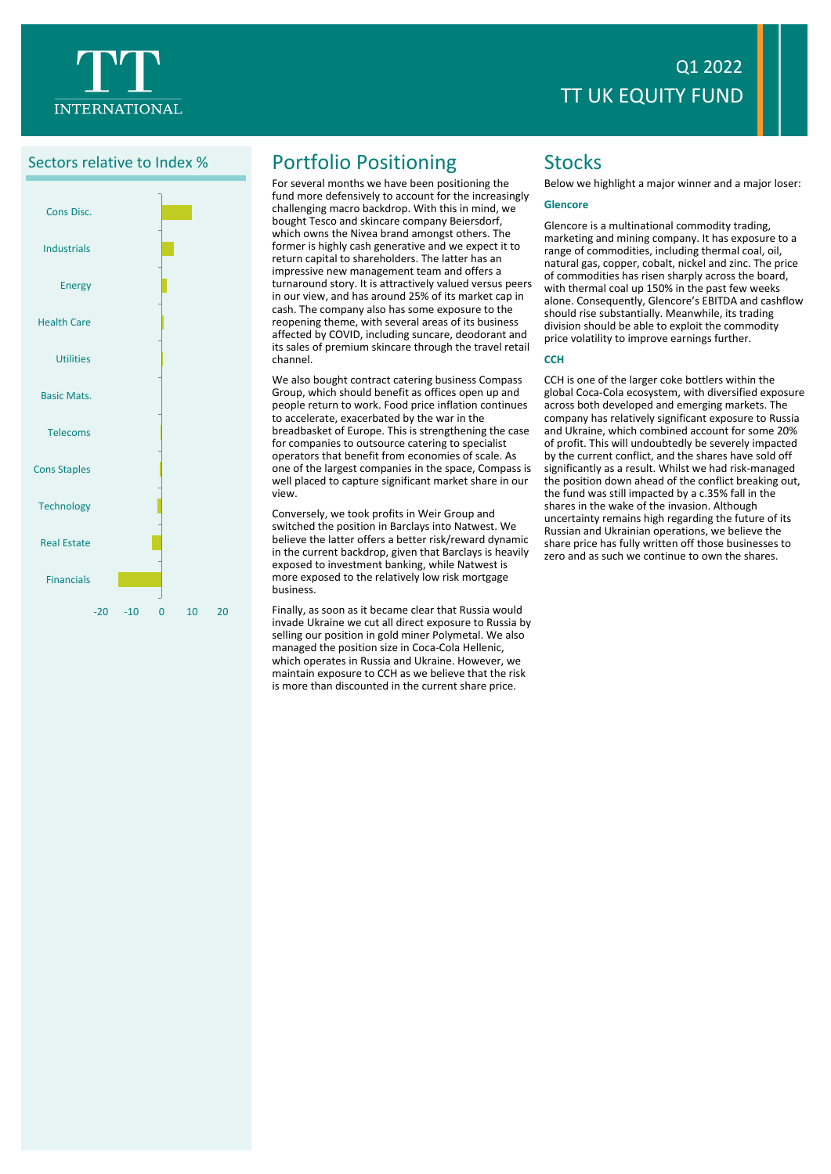



# Sectors relative to Index % Portfolio Positioning

For several months we have been positioning the fund more defensively to account for the increasingly challenging macro backdrop. With this in mind, we bought Tesco and skincare company Beiersdorf, which owns the Nivea brand amongst others. The former is highly cash generative and we expect it to return capital to shareholders. The latter has an impressive new management team and offers a turnaround story. It is attractively valued versus peers in our view, and has around 25% of its market cap in cash. The company also has some exposure to the reopening theme, with several areas of its business affected by COVID, including suncare, deodorant and its sales of premium skincare through the travel retail channel.

We also bought contract catering business Compass Group, which should benefit as offices open up and people return to work. Food price inflation continues to accelerate, exacerbated by the war in the breadbasket of Europe. This is strengthening the case for companies to outsource catering to specialist operators that benefit from economies of scale. As one of the largest companies in the space, Compass is well placed to capture significant market share in our view.

Conversely, we took profits in Weir Group and switched the position in Barclays into Natwest. We believe the latter offers a better risk/reward dynamic in the current backdrop, given that Barclays is heavily exposed to investment banking, while Natwest is more exposed to the relatively low risk mortgage business.

Finally, as soon as it became clear that Russia would invade Ukraine we cut all direct exposure to Russia by selling our position in gold miner Polymetal. We also managed the position size in Coca-Cola Hellenic, which operates in Russia and Ukraine. However, we maintain exposure to CCH as we believe that the risk is more than discounted in the current share price.

# **Stocks**

Below we highlight a major winner and a major loser:

### **Glencore**

Glencore is a multinational commodity trading, marketing and mining company. It has exposure to a range of commodities, including thermal coal, oil, natural gas, copper, cobalt, nickel and zinc. The price of commodities has risen sharply across the board, with thermal coal up 150% in the past few weeks alone. Consequently, Glencore's EBITDA and cashflow should rise substantially. Meanwhile, its trading division should be able to exploit the commodity price volatility to improve earnings further.

### **CCH**

CCH is one of the larger coke bottlers within the global Coca-Cola ecosystem, with diversified exposure across both developed and emerging markets. The company has relatively significant exposure to Russia and Ukraine, which combined account for some 20% of profit. This will undoubtedly be severely impacted by the current conflict, and the shares have sold off significantly as a result. Whilst we had risk-managed the position down ahead of the conflict breaking out, the fund was still impacted by a c.35% fall in the shares in the wake of the invasion. Although uncertainty remains high regarding the future of its Russian and Ukrainian operations, we believe the share price has fully written off those businesses to zero and as such we continue to own the shares.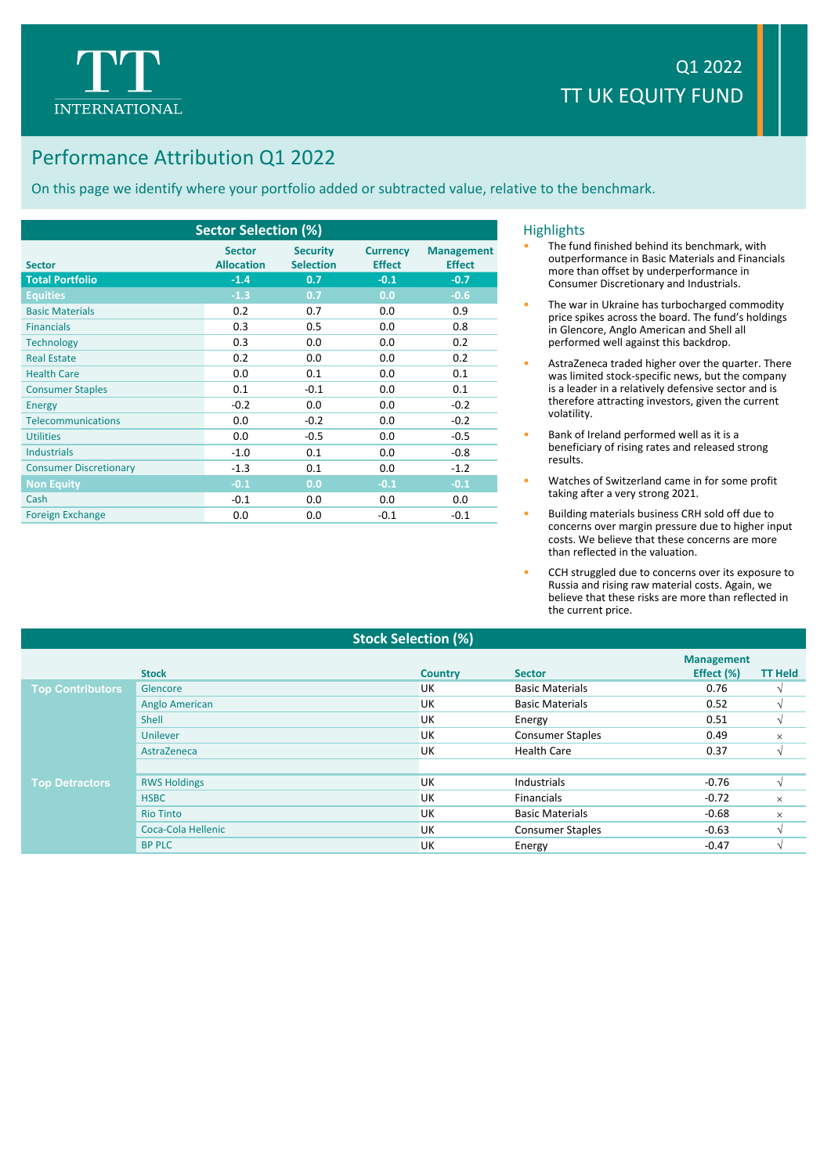

# Performance Attribution Q1 2022

On this page we identify where your portfolio added or subtracted value, relative to the benchmark.

| <b>Sector Selection (%)</b>   |                                    |                                     |                                  |                                    |  |  |
|-------------------------------|------------------------------------|-------------------------------------|----------------------------------|------------------------------------|--|--|
| <b>Sector</b>                 | <b>Sector</b><br><b>Allocation</b> | <b>Security</b><br><b>Selection</b> | <b>Currency</b><br><b>Effect</b> | <b>Management</b><br><b>Effect</b> |  |  |
| <b>Total Portfolio</b>        | $-1.4$                             | 0.7                                 | $-0.1$                           | $-0.7$                             |  |  |
| <b>Equities</b>               | $-1.3$                             | 0.7                                 | 0.0                              | $-0.6$                             |  |  |
| <b>Basic Materials</b>        | 0.2                                | 0.7                                 | 0.0                              | 0.9                                |  |  |
| <b>Financials</b>             | 0.3                                | 0.5                                 | 0.0                              | 0.8                                |  |  |
| <b>Technology</b>             | 0.3                                | 0.0                                 | 0.0                              | 0.2                                |  |  |
| <b>Real Estate</b>            | 0.2                                | 0.0                                 | 0.0                              | 0.2                                |  |  |
| <b>Health Care</b>            | 0.0                                | 0.1                                 | 0.0                              | 0.1                                |  |  |
| <b>Consumer Staples</b>       | 0.1                                | $-0.1$                              | 0.0                              | 0.1                                |  |  |
| <b>Energy</b>                 | $-0.2$                             | 0.0                                 | 0.0                              | $-0.2$                             |  |  |
| <b>Telecommunications</b>     | 0.0                                | $-0.2$                              | 0.0                              | $-0.2$                             |  |  |
| <b>Utilities</b>              | 0.0                                | $-0.5$                              | 0.0                              | $-0.5$                             |  |  |
| <b>Industrials</b>            | $-1.0$                             | 0.1                                 | 0.0                              | $-0.8$                             |  |  |
| <b>Consumer Discretionary</b> | $-1.3$                             | 0.1                                 | 0.0                              | $-1.2$                             |  |  |
| <b>Non Equity</b>             | $-0.1$                             | 0.0                                 | $-0.1$                           | $-0.1$                             |  |  |
| Cash                          | $-0.1$                             | 0.0                                 | 0.0                              | 0.0                                |  |  |
| <b>Foreign Exchange</b>       | 0.0                                | 0.0                                 | $-0.1$                           | $-0.1$                             |  |  |

### **Highlights**

- The fund finished behind its benchmark, with outperformance in Basic Materials and Financials more than offset by underperformance in Consumer Discretionary and Industrials.
- The war in Ukraine has turbocharged commodity price spikes across the board. The fund's holdings in Glencore, Anglo American and Shell all performed well against this backdrop.
- AstraZeneca traded higher over the quarter. There was limited stock-specific news, but the company is a leader in a relatively defensive sector and is therefore attracting investors, given the current volatility.
- Bank of Ireland performed well as it is a beneficiary of rising rates and released strong results.
- Watches of Switzerland came in for some profit taking after a very strong 2021.
- Building materials business CRH sold off due to concerns over margin pressure due to higher input costs. We believe that these concerns are more than reflected in the valuation.
- CCH struggled due to concerns over its exposure to Russia and rising raw material costs. Again, we believe that these risks are more than reflected in the current price.

### **Stock Selection (%)**

|                         |                     |                |                         | <b>Management</b> |                |
|-------------------------|---------------------|----------------|-------------------------|-------------------|----------------|
|                         | <b>Stock</b>        | <b>Country</b> | <b>Sector</b>           | Effect (%)        | <b>TT Held</b> |
| <b>Top Contributors</b> | Glencore            | UK             | <b>Basic Materials</b>  | 0.76              |                |
|                         | Anglo American      | UK             | <b>Basic Materials</b>  | 0.52              |                |
|                         | Shell               | UK             | Energy                  | 0.51              |                |
|                         | Unilever            | UK             | <b>Consumer Staples</b> | 0.49              | $\times$       |
|                         | AstraZeneca         | UK             | <b>Health Care</b>      | 0.37              |                |
|                         |                     |                |                         |                   |                |
| <b>Top Detractors</b>   | <b>RWS Holdings</b> | UK             | Industrials             | $-0.76$           |                |
|                         | <b>HSBC</b>         | UK             | <b>Financials</b>       | $-0.72$           | $\times$       |
|                         | <b>Rio Tinto</b>    | UK             | <b>Basic Materials</b>  | $-0.68$           | $\times$       |
|                         | Coca-Cola Hellenic  | UK             | <b>Consumer Staples</b> | $-0.63$           |                |
|                         | <b>BP PLC</b>       | UK             | Energy                  | $-0.47$           |                |